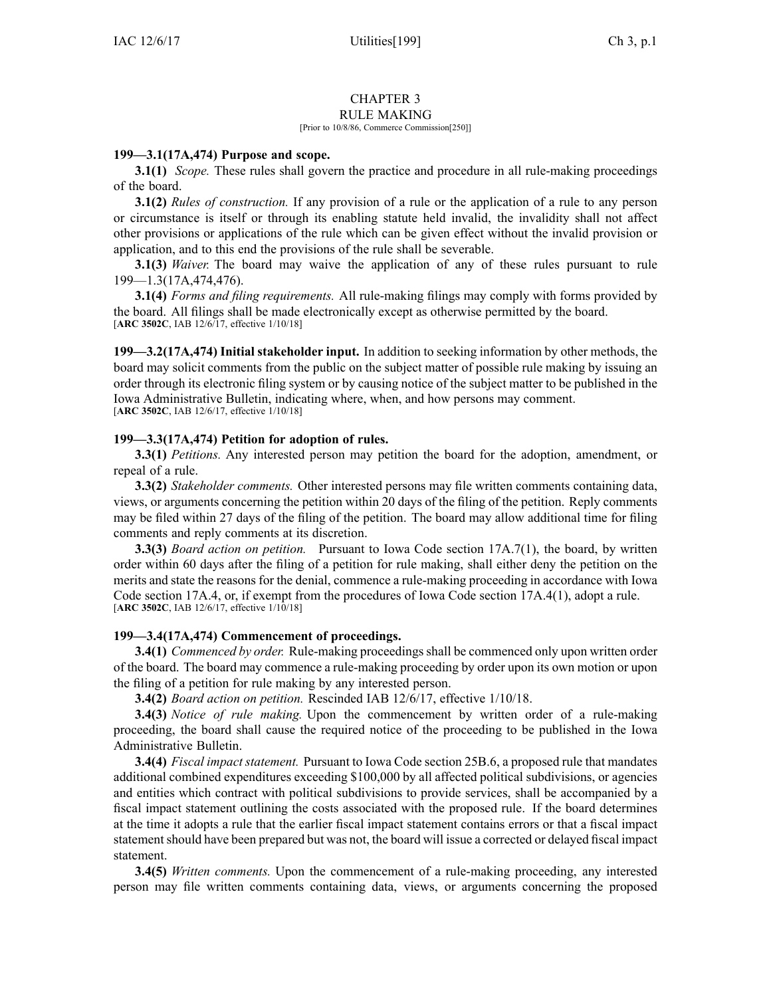# CHAPTER 3

## RULE MAKING

#### [Prior to 10/8/86, Commerce Commission[250]]

## **199—3.1(17A,474) Purpose and scope.**

**3.1(1)** *Scope.* These rules shall govern the practice and procedure in all rule-making proceedings of the board.

**3.1(2)** *Rules of construction.* If any provision of <sup>a</sup> rule or the application of <sup>a</sup> rule to any person or circumstance is itself or through its enabling statute held invalid, the invalidity shall not affect other provisions or applications of the rule which can be given effect without the invalid provision or application, and to this end the provisions of the rule shall be severable.

**3.1(3)** *Waiver.* The board may waive the application of any of these rules pursuan<sup>t</sup> to rule [199—1.3\(](https://www.legis.iowa.gov/docs/iac/rule/199.1.3.pdf)17A,474,476).

**3.1(4)** *Forms and filing requirements.* All rule-making filings may comply with forms provided by the board. All filings shall be made electronically excep<sup>t</sup> as otherwise permitted by the board. [**ARC [3502C](https://www.legis.iowa.gov/docs/aco/arc/3502C.pdf)**, IAB 12/6/17, effective 1/10/18]

**199—3.2(17A,474) Initial stakeholder input.** In addition to seeking information by other methods, the board may solicit comments from the public on the subject matter of possible rule making by issuing an order through its electronic filing system or by causing notice of the subject matter to be published in the Iowa Administrative Bulletin, indicating where, when, and how persons may comment. [**ARC [3502C](https://www.legis.iowa.gov/docs/aco/arc/3502C.pdf)**, IAB 12/6/17, effective 1/10/18]

### **199—3.3(17A,474) Petition for adoption of rules.**

**3.3(1)** *Petitions.* Any interested person may petition the board for the adoption, amendment, or repeal of <sup>a</sup> rule.

**3.3(2)** *Stakeholder comments.* Other interested persons may file written comments containing data, views, or arguments concerning the petition within 20 days of the filing of the petition. Reply comments may be filed within 27 days of the filing of the petition. The board may allow additional time for filing comments and reply comments at its discretion.

**3.3(3)** *Board action on petition.* Pursuant to Iowa Code section [17A.7\(1\)](https://www.legis.iowa.gov/docs/ico/section/2017/17A.7.pdf), the board, by written order within 60 days after the filing of <sup>a</sup> petition for rule making, shall either deny the petition on the merits and state the reasons for the denial, commence <sup>a</sup> rule-making proceeding in accordance with Iowa Code section [17A.4](https://www.legis.iowa.gov/docs/ico/section/2017/17A.4.pdf), or, if exemp<sup>t</sup> from the procedures of Iowa Code section [17A.4\(1\)](https://www.legis.iowa.gov/docs/ico/section/2017/17A.4.pdf), adopt <sup>a</sup> rule. [**ARC [3502C](https://www.legis.iowa.gov/docs/aco/arc/3502C.pdf)**, IAB 12/6/17, effective 1/10/18]

### **199—3.4(17A,474) Commencement of proceedings.**

**3.4(1)** *Commenced by order.* Rule-making proceedingsshall be commenced only upon written order of the board. The board may commence <sup>a</sup> rule-making proceeding by order upon its own motion or upon the filing of <sup>a</sup> petition for rule making by any interested person.

**3.4(2)** *Board action on petition.* Rescinded IAB [12/6/17](https://www.legis.iowa.gov/docs/aco/bulletin/12-06-2017.pdf), effective 1/10/18.

**3.4(3)** *Notice of rule making.* Upon the commencement by written order of <sup>a</sup> rule-making proceeding, the board shall cause the required notice of the proceeding to be published in the Iowa Administrative Bulletin.

**3.4(4)** *Fiscal impact statement.* Pursuant to Iowa Code section [25B.6](https://www.legis.iowa.gov/docs/ico/section/25B.6.pdf), <sup>a</sup> proposed rule that mandates additional combined expenditures exceeding \$100,000 by all affected political subdivisions, or agencies and entities which contract with political subdivisions to provide services, shall be accompanied by <sup>a</sup> fiscal impact statement outlining the costs associated with the proposed rule. If the board determines at the time it adopts <sup>a</sup> rule that the earlier fiscal impact statement contains errors or that <sup>a</sup> fiscal impact statementshould have been prepared but was not, the board will issue <sup>a</sup> corrected or delayed fiscal impact statement.

**3.4(5)** *Written comments.* Upon the commencement of <sup>a</sup> rule-making proceeding, any interested person may file written comments containing data, views, or arguments concerning the proposed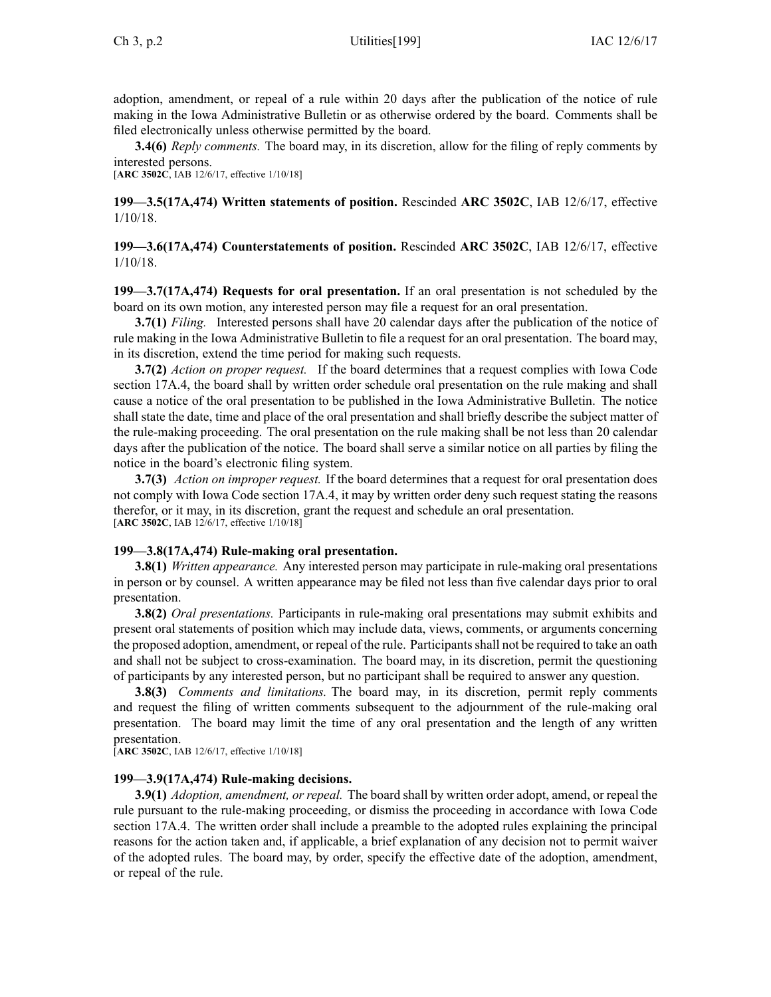adoption, amendment, or repeal of <sup>a</sup> rule within 20 days after the publication of the notice of rule making in the Iowa Administrative Bulletin or as otherwise ordered by the board. Comments shall be filed electronically unless otherwise permitted by the board.

**3.4(6)** *Reply comments.* The board may, in its discretion, allow for the filing of reply comments by interested persons.

[**ARC [3502C](https://www.legis.iowa.gov/docs/aco/arc/3502C.pdf)**, IAB 12/6/17, effective 1/10/18]

**199—3.5(17A,474) Written statements of position.** Rescinded **ARC 3502C**, IAB [12/6/17](https://www.legis.iowa.gov/docs/aco/bulletin/12-06-2017.pdf), effective 1/10/18.

**199—3.6(17A,474) Counterstatements of position.** Rescinded **ARC 3502C**, IAB [12/6/17](https://www.legis.iowa.gov/docs/aco/bulletin/12-06-2017.pdf), effective 1/10/18.

**199—3.7(17A,474) Requests for oral presentation.** If an oral presentation is not scheduled by the board on its own motion, any interested person may file <sup>a</sup> reques<sup>t</sup> for an oral presentation.

**3.7(1)** *Filing.* Interested persons shall have 20 calendar days after the publication of the notice of rule making in the Iowa Administrative Bulletin to file <sup>a</sup> reques<sup>t</sup> for an oral presentation. The board may, in its discretion, extend the time period for making such requests.

**3.7(2)** *Action on proper request.* If the board determines that <sup>a</sup> reques<sup>t</sup> complies with Iowa Code section [17A.4](https://www.legis.iowa.gov/docs/ico/section/17A.4.pdf), the board shall by written order schedule oral presentation on the rule making and shall cause <sup>a</sup> notice of the oral presentation to be published in the Iowa Administrative Bulletin. The notice shall state the date, time and place of the oral presentation and shall briefly describe the subject matter of the rule-making proceeding. The oral presentation on the rule making shall be not less than 20 calendar days after the publication of the notice. The board shall serve <sup>a</sup> similar notice on all parties by filing the notice in the board's electronic filing system.

**3.7(3)** *Action on improper request.* If the board determines that <sup>a</sup> reques<sup>t</sup> for oral presentation does not comply with Iowa Code section [17A.4](https://www.legis.iowa.gov/docs/ico/section/17A.4.pdf), it may by written order deny such reques<sup>t</sup> stating the reasons therefor, or it may, in its discretion, gran<sup>t</sup> the reques<sup>t</sup> and schedule an oral presentation. [**ARC [3502C](https://www.legis.iowa.gov/docs/aco/arc/3502C.pdf)**, IAB 12/6/17, effective 1/10/18]

### **199—3.8(17A,474) Rule-making oral presentation.**

**3.8(1)** *Written appearance.* Any interested person may participate in rule-making oral presentations in person or by counsel. A written appearance may be filed not less than five calendar days prior to oral presentation.

**3.8(2)** *Oral presentations.* Participants in rule-making oral presentations may submit exhibits and presen<sup>t</sup> oral statements of position which may include data, views, comments, or arguments concerning the proposed adoption, amendment, or repeal of the rule. Participantsshall not be required to take an oath and shall not be subject to cross-examination. The board may, in its discretion, permit the questioning of participants by any interested person, but no participant shall be required to answer any question.

**3.8(3)** *Comments and limitations.* The board may, in its discretion, permit reply comments and reques<sup>t</sup> the filing of written comments subsequent to the adjournment of the rule-making oral presentation. The board may limit the time of any oral presentation and the length of any written presentation.

[**ARC [3502C](https://www.legis.iowa.gov/docs/aco/arc/3502C.pdf)**, IAB 12/6/17, effective 1/10/18]

## **199—3.9(17A,474) Rule-making decisions.**

**3.9(1)** *Adoption, amendment, or repeal.* The board shall by written order adopt, amend, or repeal the rule pursuan<sup>t</sup> to the rule-making proceeding, or dismiss the proceeding in accordance with Iowa Code section [17A.4](https://www.legis.iowa.gov/docs/ico/section/17A.4.pdf). The written order shall include <sup>a</sup> preamble to the adopted rules explaining the principal reasons for the action taken and, if applicable, <sup>a</sup> brief explanation of any decision not to permit waiver of the adopted rules. The board may, by order, specify the effective date of the adoption, amendment, or repeal of the rule.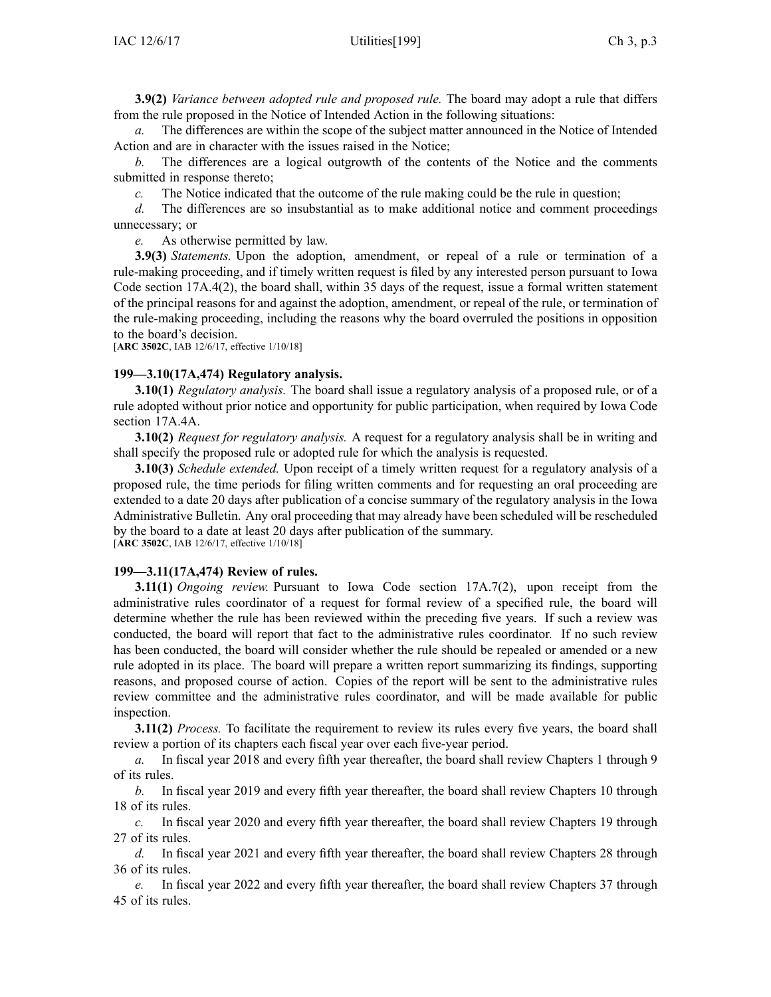**3.9(2)** *Variance between adopted rule and proposed rule.* The board may adopt <sup>a</sup> rule that differs from the rule proposed in the Notice of Intended Action in the following situations:

*a.* The differences are within the scope of the subject matter announced in the Notice of Intended Action and are in character with the issues raised in the Notice;

*b.* The differences are <sup>a</sup> logical outgrowth of the contents of the Notice and the comments submitted in response thereto;

*c.* The Notice indicated that the outcome of the rule making could be the rule in question;

*d.* The differences are so insubstantial as to make additional notice and comment proceedings unnecessary; or

*e.* As otherwise permitted by law.

**3.9(3)** *Statements.* Upon the adoption, amendment, or repeal of <sup>a</sup> rule or termination of <sup>a</sup> rule-making proceeding, and if timely written reques<sup>t</sup> is filed by any interested person pursuan<sup>t</sup> to Iowa Code section 17A.4(2), the board shall, within 35 days of the request, issue <sup>a</sup> formal written statement of the principal reasons for and against the adoption, amendment, or repeal of the rule, or termination of the rule-making proceeding, including the reasons why the board overruled the positions in opposition to the board's decision.

[**ARC [3502C](https://www.legis.iowa.gov/docs/aco/arc/3502C.pdf)**, IAB 12/6/17, effective 1/10/18]

#### **199—3.10(17A,474) Regulatory analysis.**

**3.10(1)** *Regulatory analysis.* The board shall issue <sup>a</sup> regulatory analysis of <sup>a</sup> proposed rule, or of <sup>a</sup> rule adopted without prior notice and opportunity for public participation, when required by Iowa Code section [17A.4A](https://www.legis.iowa.gov/docs/ico/section/2017/17A.4A.pdf).

**3.10(2)** *Request for regulatory analysis.* A reques<sup>t</sup> for <sup>a</sup> regulatory analysis shall be in writing and shall specify the proposed rule or adopted rule for which the analysis is requested.

**3.10(3)** *Schedule extended.* Upon receipt of <sup>a</sup> timely written reques<sup>t</sup> for <sup>a</sup> regulatory analysis of <sup>a</sup> proposed rule, the time periods for filing written comments and for requesting an oral proceeding are extended to <sup>a</sup> date 20 days after publication of <sup>a</sup> concise summary of the regulatory analysis in the Iowa Administrative Bulletin. Any oral proceeding that may already have been scheduled will be rescheduled by the board to <sup>a</sup> date at least 20 days after publication of the summary. [**ARC [3502C](https://www.legis.iowa.gov/docs/aco/arc/3502C.pdf)**, IAB 12/6/17, effective 1/10/18]

#### **199—3.11(17A,474) Review of rules.**

**3.11(1)** *Ongoing review.* Pursuant to Iowa Code section [17A.7\(2\)](https://www.legis.iowa.gov/docs/ico/section/17A.7.pdf), upon receipt from the administrative rules coordinator of <sup>a</sup> reques<sup>t</sup> for formal review of <sup>a</sup> specified rule, the board will determine whether the rule has been reviewed within the preceding five years. If such <sup>a</sup> review was conducted, the board will repor<sup>t</sup> that fact to the administrative rules coordinator. If no such review has been conducted, the board will consider whether the rule should be repealed or amended or <sup>a</sup> new rule adopted in its place. The board will prepare <sup>a</sup> written repor<sup>t</sup> summarizing its findings, supporting reasons, and proposed course of action. Copies of the repor<sup>t</sup> will be sent to the administrative rules review committee and the administrative rules coordinator, and will be made available for public inspection.

**3.11(2)** *Process.* To facilitate the requirement to review its rules every five years, the board shall review <sup>a</sup> portion of its chapters each fiscal year over each five-year period.

*a.* In fiscal year 2018 and every fifth year thereafter, the board shall review Chapters 1 through 9 of its rules.

*b.* In fiscal year 2019 and every fifth year thereafter, the board shall review Chapters 10 through 18 of its rules.

*c.* In fiscal year 2020 and every fifth year thereafter, the board shall review Chapters 19 through 27 of its rules.

*d.* In fiscal year 2021 and every fifth year thereafter, the board shall review Chapters 28 through 36 of its rules.

*e.* In fiscal year 2022 and every fifth year thereafter, the board shall review Chapters 37 through 45 of its rules.